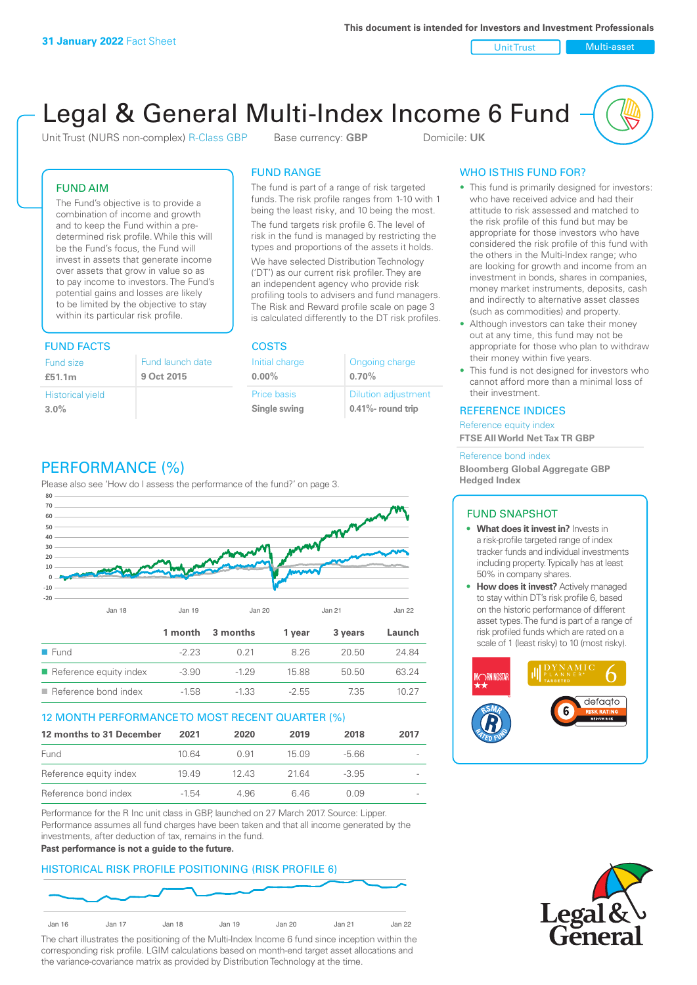Unit Trust Nulti-asset

# Legal & General Multi-Index Income 6 Fund

Unit Trust (NURS non-complex) R-Class GBP Base currency: **GBP** Domicile: UK

### FUND AIM

The Fund's objective is to provide a combination of income and growth and to keep the Fund within a predetermined risk profile. While this will be the Fund's focus, the Fund will invest in assets that generate income over assets that grow in value so as to pay income to investors. The Fund's potential gains and losses are likely to be limited by the objective to stay within its particular risk profile.

### FUND FACTS COSTS

| Fund size<br>£51.1m     | Fund launch date<br>9 Oct 2015 |
|-------------------------|--------------------------------|
| <b>Historical yield</b> |                                |
| 3.0%                    |                                |

### FUND RANGE

The fund is part of a range of risk targeted funds. The risk profile ranges from 1-10 with 1 being the least risky, and 10 being the most.

The fund targets risk profile 6. The level of risk in the fund is managed by restricting the types and proportions of the assets it holds. We have selected Distribution Technology ('DT') as our current risk profiler. They are an independent agency who provide risk profiling tools to advisers and fund managers. The Risk and Reward profile scale on page 3 is calculated differently to the DT risk profiles.

**0.00%**

| Initial charge     | Ongoing charge             |
|--------------------|----------------------------|
| $0.00\%$           | 0.70%                      |
| <b>Price basis</b> | <b>Dilution adjustment</b> |
| Single swing       | 0.41%- round trip          |

## PERFORMANCE (%)

Please also see 'How do I assess the performance of the fund?' on page 3.



### 12 MONTH PERFORMANCE TO MOST RECENT QUARTER (%)

| 12 months to 31 December | 2021  | 2020 | 2019  | 2018    | 2017 |
|--------------------------|-------|------|-------|---------|------|
| Fund                     | 1064  | O 91 | 15.09 | -5.66   |      |
| Reference equity index   | 1949  | 1243 | 21.64 | $-3.95$ |      |
| Reference bond index     | -1.54 | 4.96 | 646   | O 0.9   |      |

Performance for the R Inc unit class in GBP, launched on 27 March 2017. Source: Lipper. Performance assumes all fund charges have been taken and that all income generated by the investments, after deduction of tax, remains in the fund.

### **Past performance is not a guide to the future.**

### HISTORICAL RISK PROFILE POSITIONING (RISK PROFILE 6)



The chart illustrates the positioning of the Multi-Index Income 6 fund since inception within the corresponding risk profile. LGIM calculations based on month-end target asset allocations and the variance-covariance matrix as provided by Distribution Technology at the time.

### WHO IS THIS FUND FOR?

- This fund is primarily designed for investors: who have received advice and had their attitude to risk assessed and matched to the risk profile of this fund but may be appropriate for those investors who have considered the risk profile of this fund with the others in the Multi-Index range; who are looking for growth and income from an investment in bonds, shares in companies, money market instruments, deposits, cash and indirectly to alternative asset classes (such as commodities) and property.
- Although investors can take their money out at any time, this fund may not be appropriate for those who plan to withdraw their money within five years.
- This fund is not designed for investors who cannot afford more than a minimal loss of their investment.

### REFERENCE INDICES

Reference equity index **FTSE All World Net Tax TR GBP**

#### Reference bond index

**Bloomberg Global Aggregate GBP Hedged Index**

### FUND SNAPSHOT

- **• What does it invest in?** Invests in a risk-profile targeted range of index tracker funds and individual investments including property. Typically has at least 50% in company shares.
- **• How does it invest?** Actively managed to stay within DT's risk profile 6, based on the historic performance of different asset types. The fund is part of a range of risk profiled funds which are rated on a scale of 1 (least risky) to 10 (most risky).



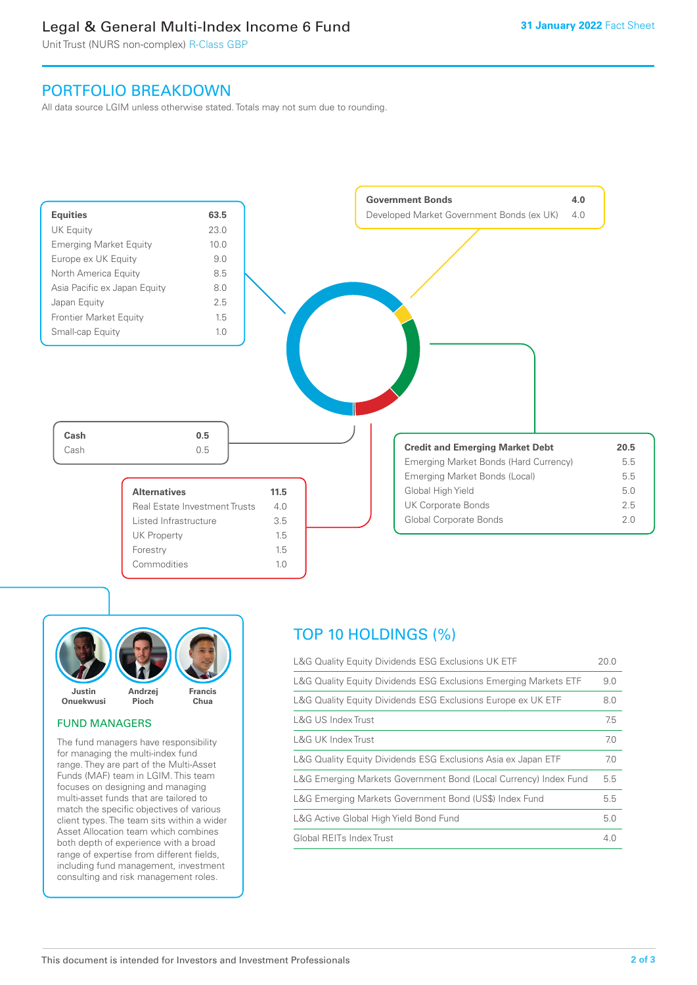### Legal & General Multi-Index Income 6 Fund

Unit Trust (NURS non-complex) R-Class GBP

### PORTFOLIO BREAKDOWN

All data source LGIM unless otherwise stated. Totals may not sum due to rounding.





### FUND MANAGERS

The fund managers have responsibility for managing the multi-index fund range. They are part of the Multi-Asset Funds (MAF) team in LGIM. This team focuses on designing and managing multi-asset funds that are tailored to match the specific objectives of various client types. The team sits within a wider Asset Allocation team which combines both depth of experience with a broad range of expertise from different fields, including fund management, investment consulting and risk management roles.

### TOP 10 HOLDINGS (%)

| L&G Quality Equity Dividends ESG Exclusions UK ETF               | 20.0 |
|------------------------------------------------------------------|------|
| L&G Quality Equity Dividends ESG Exclusions Emerging Markets ETF | 9.0  |
| L&G Quality Equity Dividends ESG Exclusions Europe ex UK ETF     | 8.0  |
| L&G US Index Trust                                               | 7.5  |
| L&G UK Index Trust                                               | 7.0  |
| L&G Quality Equity Dividends ESG Exclusions Asia ex Japan ETF    | 7.0  |
| L&G Emerging Markets Government Bond (Local Currency) Index Fund | 5.5  |
| L&G Emerging Markets Government Bond (US\$) Index Fund           | 5.5  |
| L&G Active Global High Yield Bond Fund                           | 5.0  |
| Global REITs Index Trust                                         | 4.0  |